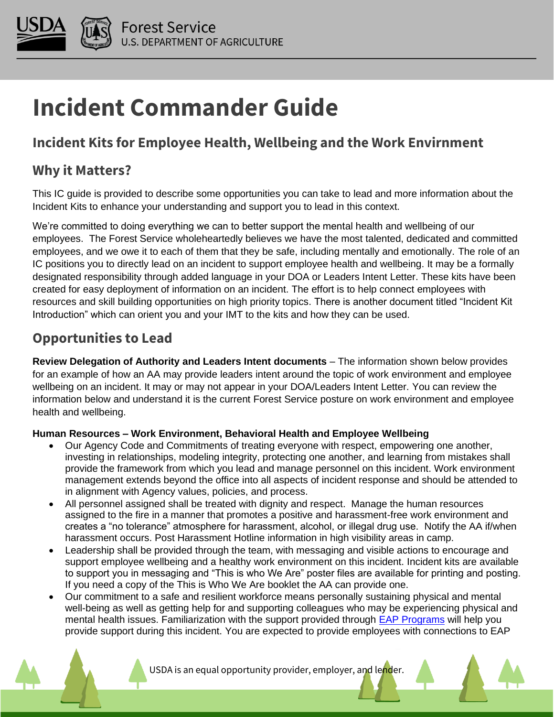

# **Incident Commander Guide**

# **Incident Kits for Employee Health, Wellbeing and the Work Envirnment**

### **Why it Matters?**

This IC guide is provided to describe some opportunities you can take to lead and more information about the Incident Kits to enhance your understanding and support you to lead in this context.

We're committed to doing everything we can to better support the mental health and wellbeing of our employees. The Forest Service wholeheartedly believes we have the most talented, dedicated and committed employees, and we owe it to each of them that they be safe, including mentally and emotionally. The role of an IC positions you to directly lead on an incident to support employee health and wellbeing. It may be a formally designated responsibility through added language in your DOA or Leaders Intent Letter. These kits have been created for easy deployment of information on an incident. The effort is to help connect employees with resources and skill building opportunities on high priority topics. There is another document titled "Incident Kit Introduction" which can orient you and your IMT to the kits and how they can be used.

## **Opportunities to Lead**

**Review Delegation of Authority and Leaders Intent documents** – The information shown below provides for an example of how an AA may provide leaders intent around the topic of work environment and employee wellbeing on an incident. It may or may not appear in your DOA/Leaders Intent Letter. You can review the information below and understand it is the current Forest Service posture on work environment and employee health and wellbeing.

#### **Human Resources – Work Environment, Behavioral Health and Employee Wellbeing**

- Our Agency Code and Commitments of treating everyone with respect, empowering one another, investing in relationships, modeling integrity, protecting one another, and learning from mistakes shall provide the framework from which you lead and manage personnel on this incident. Work environment management extends beyond the office into all aspects of incident response and should be attended to in alignment with Agency values, policies, and process.
- All personnel assigned shall be treated with dignity and respect. Manage the human resources assigned to the fire in a manner that promotes a positive and harassment-free work environment and creates a "no tolerance" atmosphere for harassment, alcohol, or illegal drug use. Notify the AA if/when harassment occurs. Post Harassment Hotline information in high visibility areas in camp.
- Leadership shall be provided through the team, with messaging and visible actions to encourage and support employee wellbeing and a healthy work environment on this incident. Incident kits are available to support you in messaging and "This is who We Are" poster files are available for printing and posting. If you need a copy of the This is Who We Are booklet the AA can provide one.
- Our commitment to a safe and resilient workforce means personally sustaining physical and mental well-being as well as getting help for and supporting colleagues who may be experiencing physical and mental health issues. Familiarization with the support provided through [EAP Programs](https://experience.arcgis.com/experience/4f132cb22d134a2288c814998684f067) will help you provide support during this incident. You are expected to provide employees with connections to EAP

USDA is an equal opportunity provider, employer, and lender.